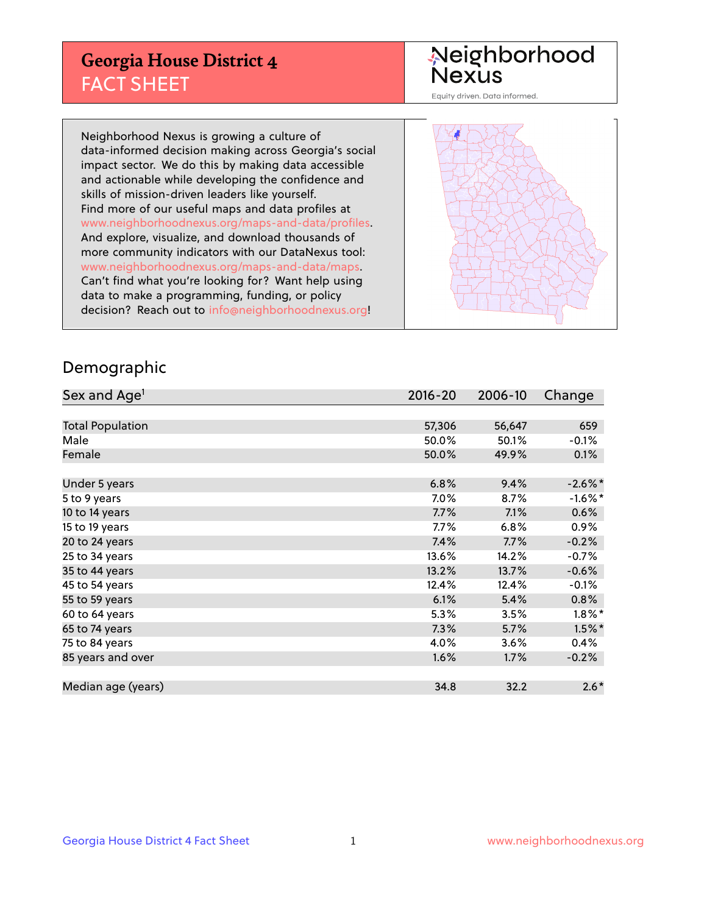## **Georgia House District 4** FACT SHEET

# Neighborhood<br>Nexus

Equity driven. Data informed.

Neighborhood Nexus is growing a culture of data-informed decision making across Georgia's social impact sector. We do this by making data accessible and actionable while developing the confidence and skills of mission-driven leaders like yourself. Find more of our useful maps and data profiles at www.neighborhoodnexus.org/maps-and-data/profiles. And explore, visualize, and download thousands of more community indicators with our DataNexus tool: www.neighborhoodnexus.org/maps-and-data/maps. Can't find what you're looking for? Want help using data to make a programming, funding, or policy decision? Reach out to [info@neighborhoodnexus.org!](mailto:info@neighborhoodnexus.org)



### Demographic

| Sex and Age <sup>1</sup> | $2016 - 20$ | 2006-10 | Change     |
|--------------------------|-------------|---------|------------|
|                          |             |         |            |
| <b>Total Population</b>  | 57,306      | 56,647  | 659        |
| Male                     | 50.0%       | 50.1%   | $-0.1\%$   |
| Female                   | 50.0%       | 49.9%   | 0.1%       |
|                          |             |         |            |
| Under 5 years            | 6.8%        | 9.4%    | $-2.6\%$ * |
| 5 to 9 years             | $7.0\%$     | 8.7%    | $-1.6%$ *  |
| 10 to 14 years           | 7.7%        | 7.1%    | 0.6%       |
| 15 to 19 years           | 7.7%        | 6.8%    | 0.9%       |
| 20 to 24 years           | 7.4%        | 7.7%    | $-0.2%$    |
| 25 to 34 years           | 13.6%       | 14.2%   | $-0.7%$    |
| 35 to 44 years           | 13.2%       | 13.7%   | $-0.6%$    |
| 45 to 54 years           | 12.4%       | 12.4%   | $-0.1%$    |
| 55 to 59 years           | 6.1%        | 5.4%    | 0.8%       |
| 60 to 64 years           | $5.3\%$     | 3.5%    | $1.8\%$ *  |
| 65 to 74 years           | 7.3%        | 5.7%    | $1.5\%$ *  |
| 75 to 84 years           | 4.0%        | 3.6%    | 0.4%       |
| 85 years and over        | 1.6%        | 1.7%    | $-0.2%$    |
|                          |             |         |            |
| Median age (years)       | 34.8        | 32.2    | $2.6*$     |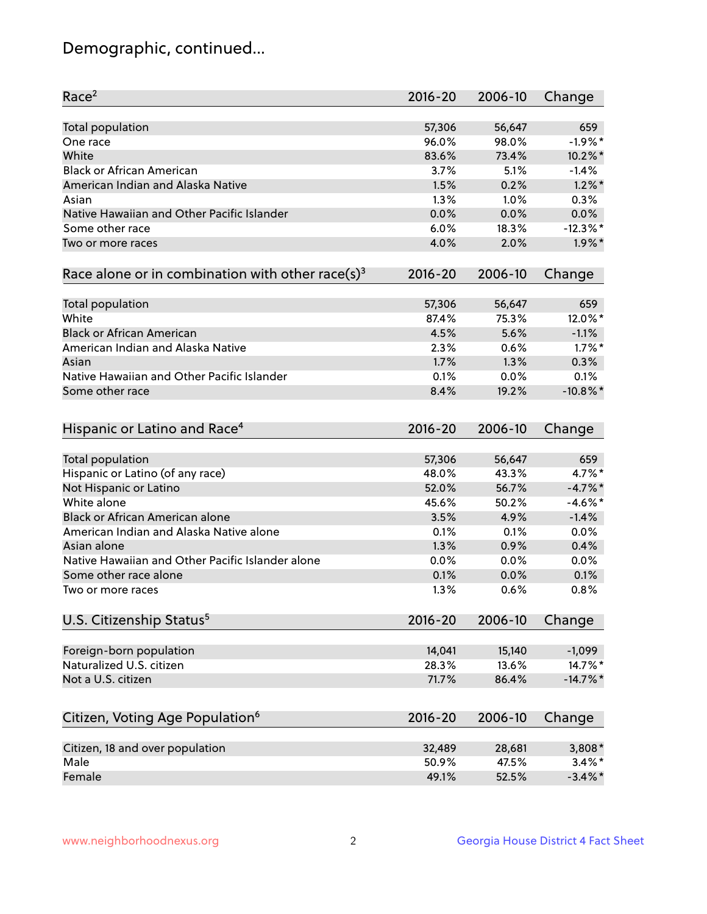## Demographic, continued...

| Race <sup>2</sup>                                            | $2016 - 20$ | 2006-10 | Change      |
|--------------------------------------------------------------|-------------|---------|-------------|
| <b>Total population</b>                                      | 57,306      | 56,647  | 659         |
| One race                                                     | 96.0%       | 98.0%   | $-1.9%$ *   |
| White                                                        | 83.6%       | 73.4%   | $10.2\%$ *  |
| <b>Black or African American</b>                             | 3.7%        | 5.1%    | $-1.4%$     |
| American Indian and Alaska Native                            | 1.5%        | 0.2%    | $1.2\%$ *   |
| Asian                                                        | 1.3%        | 1.0%    | 0.3%        |
| Native Hawaiian and Other Pacific Islander                   | 0.0%        | 0.0%    | 0.0%        |
| Some other race                                              | 6.0%        | 18.3%   | $-12.3%$    |
| Two or more races                                            | 4.0%        | 2.0%    | $1.9\%$ *   |
| Race alone or in combination with other race(s) <sup>3</sup> | $2016 - 20$ | 2006-10 | Change      |
| Total population                                             | 57,306      | 56,647  | 659         |
| White                                                        | 87.4%       | 75.3%   | 12.0%*      |
| <b>Black or African American</b>                             | 4.5%        | 5.6%    | $-1.1%$     |
| American Indian and Alaska Native                            | 2.3%        | 0.6%    | $1.7\%$ *   |
| Asian                                                        | 1.7%        | 1.3%    | 0.3%        |
| Native Hawaiian and Other Pacific Islander                   | 0.1%        | 0.0%    | 0.1%        |
| Some other race                                              | 8.4%        | 19.2%   | $-10.8\%$ * |
| Hispanic or Latino and Race <sup>4</sup>                     | $2016 - 20$ | 2006-10 | Change      |
| <b>Total population</b>                                      | 57,306      | 56,647  | 659         |
| Hispanic or Latino (of any race)                             | 48.0%       | 43.3%   | 4.7%*       |
| Not Hispanic or Latino                                       | 52.0%       | 56.7%   | $-4.7%$     |
| White alone                                                  | 45.6%       | 50.2%   | $-4.6\%$ *  |
| <b>Black or African American alone</b>                       | 3.5%        | 4.9%    | $-1.4%$     |
| American Indian and Alaska Native alone                      | 0.1%        | 0.1%    | 0.0%        |
| Asian alone                                                  | 1.3%        | 0.9%    | 0.4%        |
| Native Hawaiian and Other Pacific Islander alone             | 0.0%        | 0.0%    | 0.0%        |
| Some other race alone                                        | 0.1%        | 0.0%    | 0.1%        |
| Two or more races                                            | 1.3%        | 0.6%    | 0.8%        |
| U.S. Citizenship Status <sup>5</sup>                         | $2016 - 20$ | 2006-10 | Change      |
| Foreign-born population                                      | 14,041      | 15,140  | $-1,099$    |
| Naturalized U.S. citizen                                     | 28.3%       | 13.6%   | 14.7%*      |
| Not a U.S. citizen                                           | 71.7%       | 86.4%   | $-14.7%$ *  |
|                                                              |             |         |             |
| Citizen, Voting Age Population <sup>6</sup>                  | $2016 - 20$ | 2006-10 | Change      |
| Citizen, 18 and over population                              | 32,489      | 28,681  | $3,808*$    |
| Male                                                         | 50.9%       | 47.5%   | $3.4\%$ *   |
| Female                                                       | 49.1%       | 52.5%   | $-3.4\%$ *  |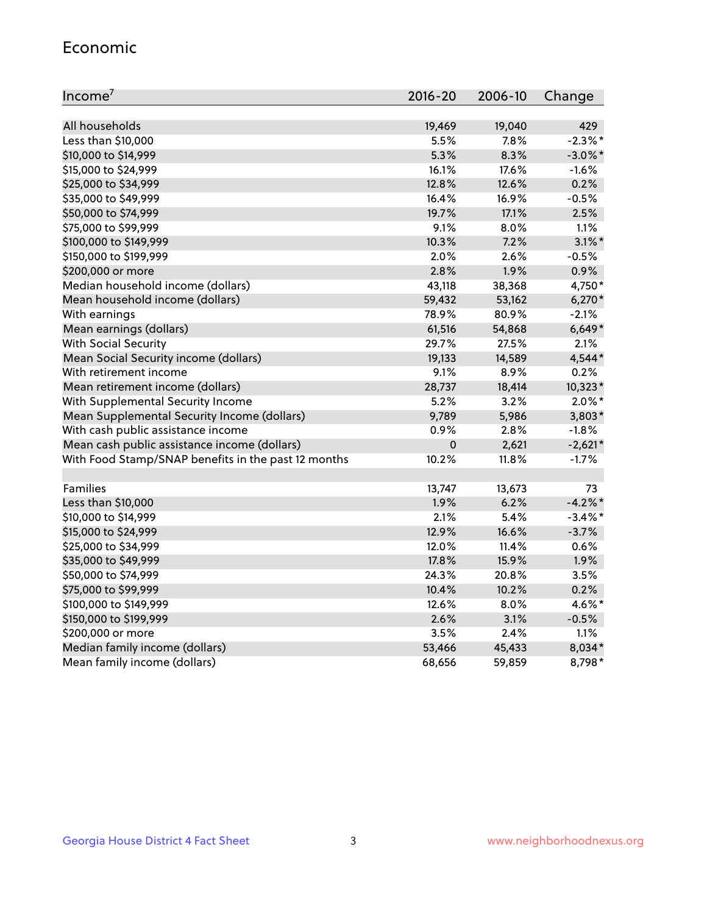#### Economic

| Income <sup>7</sup>                                 | 2016-20     | 2006-10 | Change     |
|-----------------------------------------------------|-------------|---------|------------|
|                                                     |             |         |            |
| All households                                      | 19,469      | 19,040  | 429        |
| Less than \$10,000                                  | 5.5%        | 7.8%    | $-2.3\%$ * |
| \$10,000 to \$14,999                                | 5.3%        | 8.3%    | $-3.0\%$ * |
| \$15,000 to \$24,999                                | 16.1%       | 17.6%   | $-1.6%$    |
| \$25,000 to \$34,999                                | 12.8%       | 12.6%   | 0.2%       |
| \$35,000 to \$49,999                                | 16.4%       | 16.9%   | $-0.5%$    |
| \$50,000 to \$74,999                                | 19.7%       | 17.1%   | 2.5%       |
| \$75,000 to \$99,999                                | 9.1%        | 8.0%    | 1.1%       |
| \$100,000 to \$149,999                              | 10.3%       | 7.2%    | $3.1\%$ *  |
| \$150,000 to \$199,999                              | 2.0%        | 2.6%    | $-0.5%$    |
| \$200,000 or more                                   | 2.8%        | 1.9%    | 0.9%       |
| Median household income (dollars)                   | 43,118      | 38,368  | 4,750*     |
| Mean household income (dollars)                     | 59,432      | 53,162  | $6,270*$   |
| With earnings                                       | 78.9%       | 80.9%   | $-2.1%$    |
| Mean earnings (dollars)                             | 61,516      | 54,868  | $6,649*$   |
| <b>With Social Security</b>                         | 29.7%       | 27.5%   | 2.1%       |
| Mean Social Security income (dollars)               | 19,133      | 14,589  | 4,544*     |
| With retirement income                              | 9.1%        | 8.9%    | 0.2%       |
| Mean retirement income (dollars)                    | 28,737      | 18,414  | $10,323*$  |
| With Supplemental Security Income                   | 5.2%        | 3.2%    | $2.0\%$ *  |
| Mean Supplemental Security Income (dollars)         | 9,789       | 5,986   | $3,803*$   |
| With cash public assistance income                  | 0.9%        | 2.8%    | $-1.8%$    |
| Mean cash public assistance income (dollars)        | $\mathbf 0$ | 2,621   | $-2,621*$  |
| With Food Stamp/SNAP benefits in the past 12 months | 10.2%       | 11.8%   | $-1.7%$    |
|                                                     |             |         |            |
| Families                                            | 13,747      | 13,673  | 73         |
| Less than \$10,000                                  | 1.9%        | 6.2%    | $-4.2\%$ * |
| \$10,000 to \$14,999                                | 2.1%        | 5.4%    | $-3.4\%$ * |
| \$15,000 to \$24,999                                | 12.9%       | 16.6%   | $-3.7%$    |
| \$25,000 to \$34,999                                | 12.0%       | 11.4%   | 0.6%       |
| \$35,000 to \$49,999                                | 17.8%       | 15.9%   | 1.9%       |
| \$50,000 to \$74,999                                | 24.3%       | 20.8%   | 3.5%       |
| \$75,000 to \$99,999                                | 10.4%       | 10.2%   | 0.2%       |
| \$100,000 to \$149,999                              | 12.6%       | 8.0%    | 4.6%*      |
| \$150,000 to \$199,999                              | 2.6%        | 3.1%    | $-0.5%$    |
| \$200,000 or more                                   | 3.5%        | 2.4%    | 1.1%       |
| Median family income (dollars)                      | 53,466      | 45,433  | 8,034*     |
| Mean family income (dollars)                        | 68,656      | 59,859  | 8,798*     |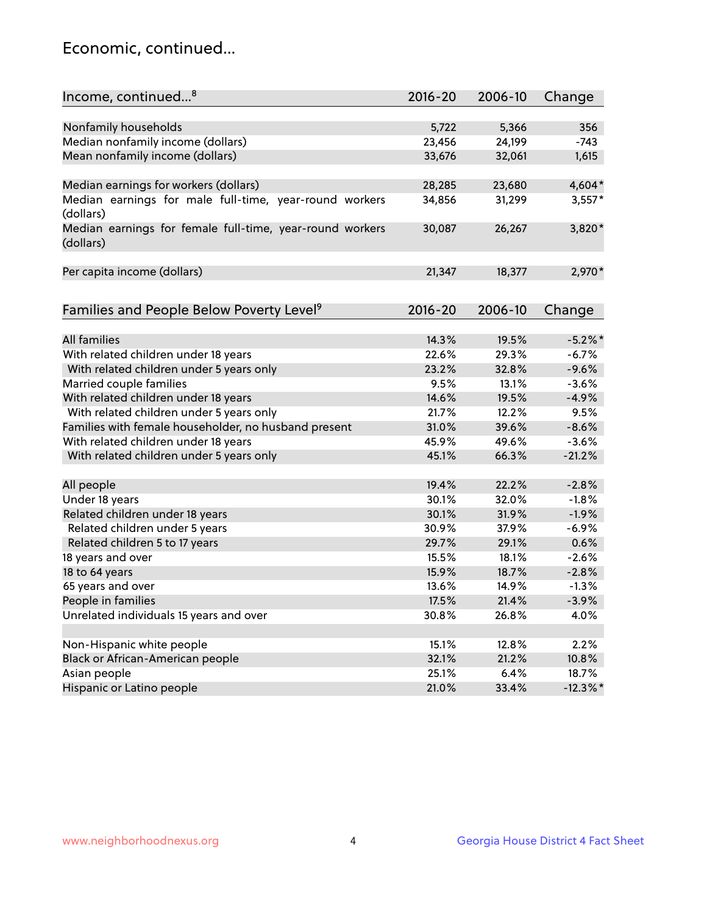## Economic, continued...

| Income, continued <sup>8</sup>                                        | $2016 - 20$ | 2006-10 | Change      |
|-----------------------------------------------------------------------|-------------|---------|-------------|
|                                                                       |             |         |             |
| Nonfamily households                                                  | 5,722       | 5,366   | 356         |
| Median nonfamily income (dollars)                                     | 23,456      | 24,199  | $-743$      |
| Mean nonfamily income (dollars)                                       | 33,676      | 32,061  | 1,615       |
| Median earnings for workers (dollars)                                 | 28,285      | 23,680  | $4,604*$    |
| Median earnings for male full-time, year-round workers                | 34,856      | 31,299  | $3,557*$    |
| (dollars)                                                             |             |         |             |
| Median earnings for female full-time, year-round workers<br>(dollars) | 30,087      | 26,267  | 3,820*      |
| Per capita income (dollars)                                           | 21,347      | 18,377  | 2,970*      |
|                                                                       |             |         |             |
| Families and People Below Poverty Level <sup>9</sup>                  | 2016-20     | 2006-10 | Change      |
|                                                                       |             |         |             |
| <b>All families</b>                                                   | 14.3%       | 19.5%   | $-5.2\%$ *  |
| With related children under 18 years                                  | 22.6%       | 29.3%   | $-6.7%$     |
| With related children under 5 years only                              | 23.2%       | 32.8%   | $-9.6%$     |
| Married couple families                                               | 9.5%        | 13.1%   | $-3.6%$     |
| With related children under 18 years                                  | 14.6%       | 19.5%   | $-4.9%$     |
| With related children under 5 years only                              | 21.7%       | 12.2%   | 9.5%        |
| Families with female householder, no husband present                  | 31.0%       | 39.6%   | $-8.6%$     |
| With related children under 18 years                                  | 45.9%       | 49.6%   | $-3.6%$     |
| With related children under 5 years only                              | 45.1%       | 66.3%   | $-21.2%$    |
| All people                                                            | 19.4%       | 22.2%   | $-2.8%$     |
| Under 18 years                                                        | 30.1%       | 32.0%   | $-1.8%$     |
| Related children under 18 years                                       | 30.1%       | 31.9%   | $-1.9%$     |
| Related children under 5 years                                        | 30.9%       | 37.9%   | $-6.9%$     |
| Related children 5 to 17 years                                        | 29.7%       | 29.1%   | 0.6%        |
| 18 years and over                                                     | 15.5%       | 18.1%   | $-2.6%$     |
|                                                                       | 15.9%       |         |             |
| 18 to 64 years                                                        |             | 18.7%   | $-2.8%$     |
| 65 years and over                                                     | 13.6%       | 14.9%   | $-1.3%$     |
| People in families                                                    | 17.5%       | 21.4%   | $-3.9%$     |
| Unrelated individuals 15 years and over                               | 30.8%       | 26.8%   | 4.0%        |
|                                                                       |             |         |             |
| Non-Hispanic white people                                             | 15.1%       | 12.8%   | 2.2%        |
| Black or African-American people                                      | 32.1%       | 21.2%   | 10.8%       |
| Asian people                                                          | 25.1%       | 6.4%    | 18.7%       |
| Hispanic or Latino people                                             | 21.0%       | 33.4%   | $-12.3\%$ * |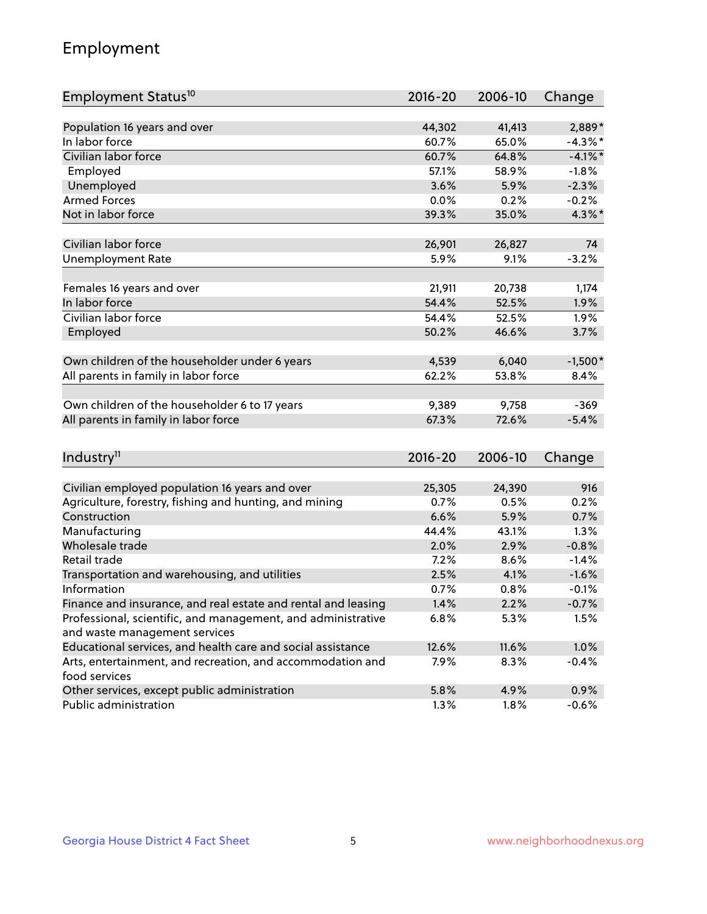## Employment

| Employment Status <sup>10</sup>                                             | $2016 - 20$ | 2006-10 | Change     |
|-----------------------------------------------------------------------------|-------------|---------|------------|
|                                                                             |             |         |            |
| Population 16 years and over                                                | 44,302      | 41,413  | 2,889*     |
| In labor force                                                              | 60.7%       | 65.0%   | $-4.3\%$ * |
| Civilian labor force                                                        | 60.7%       | 64.8%   | $-4.1\%$ * |
| Employed                                                                    | 57.1%       | 58.9%   | $-1.8%$    |
| Unemployed                                                                  | 3.6%        | 5.9%    | $-2.3%$    |
| <b>Armed Forces</b>                                                         | 0.0%        | 0.2%    | $-0.2%$    |
| Not in labor force                                                          | 39.3%       | 35.0%   | $4.3\%$ *  |
|                                                                             |             |         |            |
| Civilian labor force                                                        | 26,901      | 26,827  | 74         |
| <b>Unemployment Rate</b>                                                    | 5.9%        | 9.1%    | $-3.2%$    |
| Females 16 years and over                                                   | 21,911      | 20,738  | 1,174      |
| In labor force                                                              | 54.4%       | 52.5%   | 1.9%       |
| Civilian labor force                                                        | 54.4%       | 52.5%   | 1.9%       |
| Employed                                                                    | 50.2%       | 46.6%   | 3.7%       |
|                                                                             |             |         |            |
| Own children of the householder under 6 years                               | 4,539       | 6,040   | $-1,500*$  |
| All parents in family in labor force                                        | 62.2%       | 53.8%   | 8.4%       |
|                                                                             |             |         |            |
| Own children of the householder 6 to 17 years                               | 9,389       | 9,758   | $-369$     |
| All parents in family in labor force                                        | 67.3%       | 72.6%   | $-5.4%$    |
|                                                                             |             |         |            |
| Industry <sup>11</sup>                                                      | $2016 - 20$ | 2006-10 | Change     |
|                                                                             |             |         |            |
| Civilian employed population 16 years and over                              | 25,305      | 24,390  | 916        |
| Agriculture, forestry, fishing and hunting, and mining                      | 0.7%        | 0.5%    | 0.2%       |
| Construction                                                                | 6.6%        | 5.9%    | 0.7%       |
| Manufacturing                                                               | 44.4%       | 43.1%   | 1.3%       |
| Wholesale trade                                                             | 2.0%        | 2.9%    | $-0.8%$    |
| Retail trade                                                                | 7.2%        | 8.6%    | $-1.4%$    |
| Transportation and warehousing, and utilities                               | 2.5%        | 4.1%    | $-1.6%$    |
| Information                                                                 | 0.7%        | 0.8%    | $-0.1%$    |
| Finance and insurance, and real estate and rental and leasing               | 1.4%        | 2.2%    | $-0.7%$    |
| Professional, scientific, and management, and administrative                | 6.8%        | 5.3%    | 1.5%       |
| and waste management services                                               |             |         |            |
| Educational services, and health care and social assistance                 | 12.6%       | 11.6%   | 1.0%       |
| Arts, entertainment, and recreation, and accommodation and<br>food services | 7.9%        | 8.3%    | $-0.4%$    |
| Other services, except public administration                                | 5.8%        | 4.9%    | 0.9%       |
| Public administration                                                       | 1.3%        | 1.8%    | $-0.6%$    |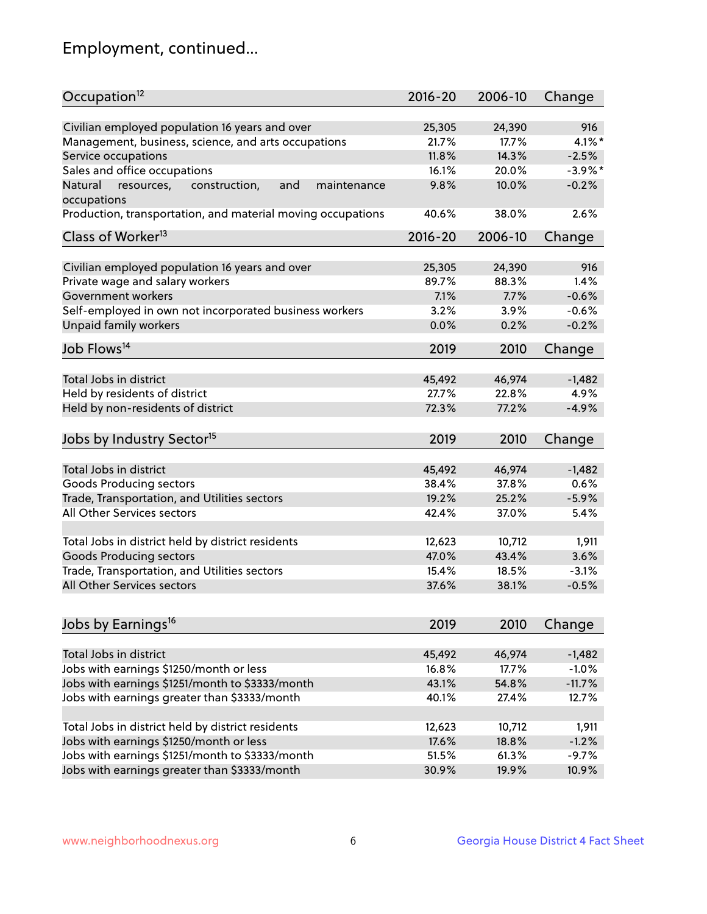## Employment, continued...

| Occupation <sup>12</sup>                                                    | $2016 - 20$ | 2006-10         | Change     |
|-----------------------------------------------------------------------------|-------------|-----------------|------------|
| Civilian employed population 16 years and over                              | 25,305      |                 | 916        |
|                                                                             | 21.7%       | 24,390<br>17.7% | $4.1\%$ *  |
| Management, business, science, and arts occupations<br>Service occupations  | 11.8%       | 14.3%           | $-2.5%$    |
|                                                                             |             |                 |            |
| Sales and office occupations                                                | 16.1%       | 20.0%           | $-3.9\%$ * |
| Natural<br>and<br>resources,<br>construction,<br>maintenance<br>occupations | 9.8%        | 10.0%           | $-0.2%$    |
| Production, transportation, and material moving occupations                 | 40.6%       | 38.0%           | 2.6%       |
| Class of Worker <sup>13</sup>                                               | 2016-20     | 2006-10         | Change     |
|                                                                             |             |                 |            |
| Civilian employed population 16 years and over                              | 25,305      | 24,390          | 916        |
| Private wage and salary workers                                             | 89.7%       | 88.3%           | 1.4%       |
| Government workers                                                          | 7.1%        | 7.7%            | $-0.6%$    |
| Self-employed in own not incorporated business workers                      | 3.2%        | 3.9%            | $-0.6%$    |
| Unpaid family workers                                                       | 0.0%        | 0.2%            | $-0.2%$    |
| Job Flows <sup>14</sup>                                                     | 2019        | 2010            | Change     |
|                                                                             |             |                 |            |
| Total Jobs in district                                                      | 45,492      | 46,974          | $-1,482$   |
| Held by residents of district                                               | 27.7%       | 22.8%           | 4.9%       |
| Held by non-residents of district                                           | 72.3%       | 77.2%           | $-4.9%$    |
|                                                                             |             |                 |            |
| Jobs by Industry Sector <sup>15</sup>                                       | 2019        | 2010            | Change     |
| Total Jobs in district                                                      | 45,492      | 46,974          | $-1,482$   |
| Goods Producing sectors                                                     | 38.4%       | 37.8%           | 0.6%       |
| Trade, Transportation, and Utilities sectors                                | 19.2%       | 25.2%           | $-5.9%$    |
| All Other Services sectors                                                  | 42.4%       | 37.0%           | 5.4%       |
|                                                                             |             |                 |            |
| Total Jobs in district held by district residents                           | 12,623      | 10,712          | 1,911      |
| <b>Goods Producing sectors</b>                                              | 47.0%       | 43.4%           | 3.6%       |
| Trade, Transportation, and Utilities sectors                                | 15.4%       | 18.5%           | $-3.1%$    |
| All Other Services sectors                                                  | 37.6%       | 38.1%           | $-0.5%$    |
|                                                                             |             |                 |            |
| Jobs by Earnings <sup>16</sup>                                              | 2019        | 2010            | Change     |
|                                                                             |             |                 |            |
| Total Jobs in district                                                      | 45,492      | 46,974          | $-1,482$   |
| Jobs with earnings \$1250/month or less                                     | 16.8%       | 17.7%           | $-1.0%$    |
| Jobs with earnings \$1251/month to \$3333/month                             | 43.1%       | 54.8%           | $-11.7%$   |
| Jobs with earnings greater than \$3333/month                                | 40.1%       | 27.4%           | 12.7%      |
|                                                                             |             |                 |            |
| Total Jobs in district held by district residents                           | 12,623      | 10,712          | 1,911      |
| Jobs with earnings \$1250/month or less                                     | 17.6%       | 18.8%           | $-1.2%$    |
| Jobs with earnings \$1251/month to \$3333/month                             | 51.5%       | 61.3%           | $-9.7%$    |
| Jobs with earnings greater than \$3333/month                                | 30.9%       | 19.9%           | 10.9%      |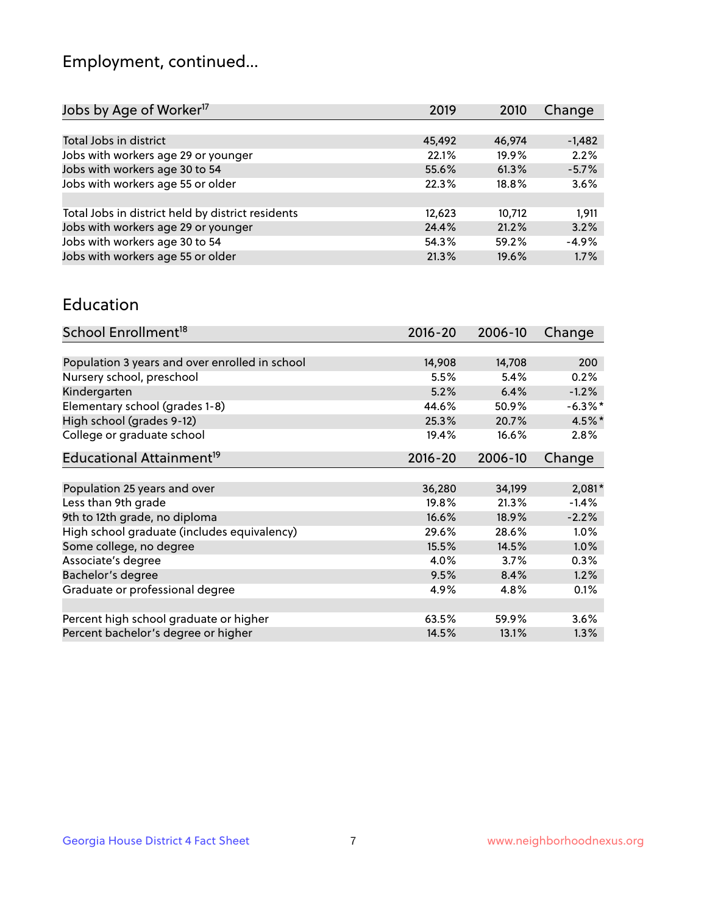## Employment, continued...

| Jobs by Age of Worker <sup>17</sup>               | 2019   | 2010   | Change   |
|---------------------------------------------------|--------|--------|----------|
|                                                   |        |        |          |
| Total Jobs in district                            | 45,492 | 46,974 | $-1,482$ |
| Jobs with workers age 29 or younger               | 22.1%  | 19.9%  | 2.2%     |
| Jobs with workers age 30 to 54                    | 55.6%  | 61.3%  | $-5.7%$  |
| Jobs with workers age 55 or older                 | 22.3%  | 18.8%  | 3.6%     |
|                                                   |        |        |          |
| Total Jobs in district held by district residents | 12,623 | 10,712 | 1,911    |
| Jobs with workers age 29 or younger               | 24.4%  | 21.2%  | 3.2%     |
| Jobs with workers age 30 to 54                    | 54.3%  | 59.2%  | $-4.9%$  |
| Jobs with workers age 55 or older                 | 21.3%  | 19.6%  | 1.7%     |
|                                                   |        |        |          |

#### Education

| School Enrollment <sup>18</sup>                | $2016 - 20$ | 2006-10 | Change     |
|------------------------------------------------|-------------|---------|------------|
|                                                |             |         |            |
| Population 3 years and over enrolled in school | 14,908      | 14,708  | 200        |
| Nursery school, preschool                      | 5.5%        | 5.4%    | 0.2%       |
| Kindergarten                                   | 5.2%        | 6.4%    | $-1.2%$    |
| Elementary school (grades 1-8)                 | 44.6%       | 50.9%   | $-6.3\%$ * |
| High school (grades 9-12)                      | 25.3%       | 20.7%   | 4.5%*      |
| College or graduate school                     | 19.4%       | 16.6%   | 2.8%       |
| Educational Attainment <sup>19</sup>           | $2016 - 20$ | 2006-10 | Change     |
|                                                |             |         |            |
| Population 25 years and over                   | 36,280      | 34,199  | $2,081*$   |
| Less than 9th grade                            | 19.8%       | 21.3%   | $-1.4%$    |
| 9th to 12th grade, no diploma                  | 16.6%       | 18.9%   | $-2.2%$    |
| High school graduate (includes equivalency)    | 29.6%       | 28.6%   | $1.0\%$    |
| Some college, no degree                        | 15.5%       | 14.5%   | 1.0%       |
| Associate's degree                             | 4.0%        | 3.7%    | 0.3%       |
| Bachelor's degree                              | 9.5%        | 8.4%    | 1.2%       |
| Graduate or professional degree                | 4.9%        | 4.8%    | 0.1%       |
|                                                |             |         |            |
| Percent high school graduate or higher         | 63.5%       | 59.9%   | $3.6\%$    |
| Percent bachelor's degree or higher            | 14.5%       | 13.1%   | $1.3\%$    |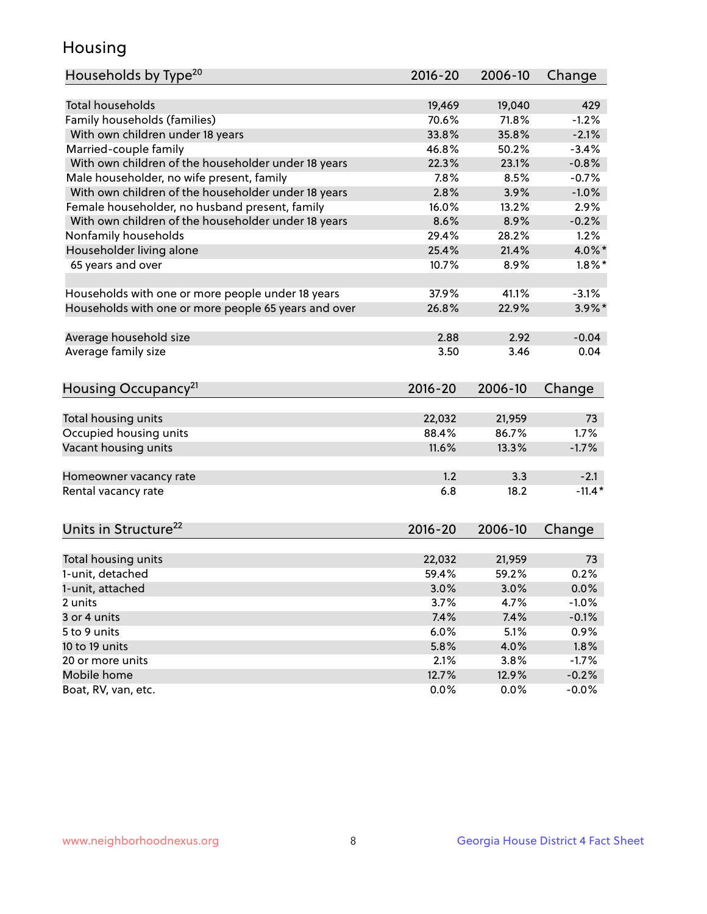## Housing

| Households by Type <sup>20</sup>                     | 2016-20     | 2006-10 | Change    |
|------------------------------------------------------|-------------|---------|-----------|
|                                                      |             |         |           |
| Total households                                     | 19,469      | 19,040  | 429       |
| Family households (families)                         | 70.6%       | 71.8%   | $-1.2%$   |
| With own children under 18 years                     | 33.8%       | 35.8%   | $-2.1%$   |
| Married-couple family                                | 46.8%       | 50.2%   | $-3.4%$   |
| With own children of the householder under 18 years  | 22.3%       | 23.1%   | $-0.8%$   |
| Male householder, no wife present, family            | 7.8%        | 8.5%    | $-0.7%$   |
| With own children of the householder under 18 years  | 2.8%        | 3.9%    | $-1.0%$   |
| Female householder, no husband present, family       | 16.0%       | 13.2%   | 2.9%      |
| With own children of the householder under 18 years  | 8.6%        | 8.9%    | $-0.2%$   |
| Nonfamily households                                 | 29.4%       | 28.2%   | 1.2%      |
| Householder living alone                             | 25.4%       | 21.4%   | 4.0%*     |
| 65 years and over                                    | 10.7%       | 8.9%    | $1.8\%$ * |
| Households with one or more people under 18 years    | 37.9%       | 41.1%   | $-3.1%$   |
| Households with one or more people 65 years and over | 26.8%       | 22.9%   | $3.9\%$ * |
|                                                      |             |         |           |
| Average household size                               | 2.88        | 2.92    | $-0.04$   |
| Average family size                                  | 3.50        | 3.46    | 0.04      |
| Housing Occupancy <sup>21</sup>                      | $2016 - 20$ | 2006-10 | Change    |
|                                                      |             |         |           |
| Total housing units                                  | 22,032      | 21,959  | 73        |
| Occupied housing units                               | 88.4%       | 86.7%   | 1.7%      |
| Vacant housing units                                 | 11.6%       | 13.3%   | $-1.7%$   |
|                                                      |             |         |           |
| Homeowner vacancy rate                               | 1.2         | 3.3     | $-2.1$    |
| Rental vacancy rate                                  | 6.8         | 18.2    | $-11.4*$  |
|                                                      |             |         |           |
| Units in Structure <sup>22</sup>                     | 2016-20     | 2006-10 | Change    |
|                                                      |             |         |           |
| Total housing units                                  | 22,032      | 21,959  | 73        |
| 1-unit, detached                                     | 59.4%       | 59.2%   | 0.2%      |
| 1-unit, attached                                     | 3.0%        | 3.0%    | 0.0%      |
| 2 units                                              | 3.7%        | 4.7%    | $-1.0%$   |
| 3 or 4 units                                         | 7.4%        | 7.4%    | $-0.1%$   |
| 5 to 9 units                                         | 6.0%        | 5.1%    | 0.9%      |
| 10 to 19 units                                       | 5.8%        | 4.0%    | 1.8%      |
| 20 or more units                                     | 2.1%        | 3.8%    | $-1.7%$   |
| Mobile home                                          | 12.7%       | 12.9%   | $-0.2%$   |
| Boat, RV, van, etc.                                  | 0.0%        | 0.0%    | $-0.0%$   |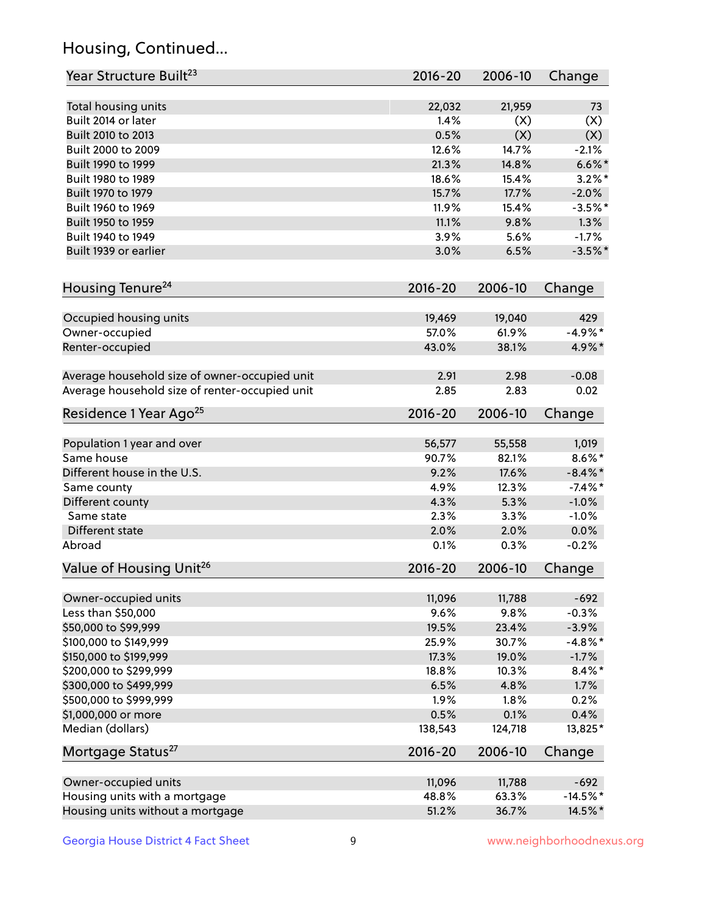## Housing, Continued...

| Year Structure Built <sup>23</sup>             | 2016-20     | 2006-10 | Change     |
|------------------------------------------------|-------------|---------|------------|
| Total housing units                            | 22,032      | 21,959  | 73         |
| Built 2014 or later                            | 1.4%        | (X)     | (X)        |
| Built 2010 to 2013                             | 0.5%        | (X)     | (X)        |
| Built 2000 to 2009                             | 12.6%       | 14.7%   | $-2.1%$    |
| Built 1990 to 1999                             | 21.3%       | 14.8%   | $6.6\%$ *  |
| Built 1980 to 1989                             | 18.6%       | 15.4%   | $3.2\%$ *  |
| Built 1970 to 1979                             | 15.7%       | 17.7%   | $-2.0%$    |
| Built 1960 to 1969                             | 11.9%       | 15.4%   | $-3.5%$ *  |
| Built 1950 to 1959                             | 11.1%       | 9.8%    | 1.3%       |
| Built 1940 to 1949                             | 3.9%        | 5.6%    | $-1.7%$    |
| Built 1939 or earlier                          | 3.0%        | 6.5%    | $-3.5%$ *  |
| Housing Tenure <sup>24</sup>                   | $2016 - 20$ | 2006-10 | Change     |
|                                                |             |         |            |
| Occupied housing units                         | 19,469      | 19,040  | 429        |
| Owner-occupied                                 | 57.0%       | 61.9%   | $-4.9%$ *  |
| Renter-occupied                                | 43.0%       | 38.1%   | 4.9%*      |
| Average household size of owner-occupied unit  | 2.91        | 2.98    | $-0.08$    |
| Average household size of renter-occupied unit | 2.85        | 2.83    | 0.02       |
| Residence 1 Year Ago <sup>25</sup>             | $2016 - 20$ | 2006-10 | Change     |
| Population 1 year and over                     | 56,577      | 55,558  | 1,019      |
| Same house                                     | 90.7%       | 82.1%   | $8.6\%$ *  |
| Different house in the U.S.                    | 9.2%        | 17.6%   | $-8.4\%$ * |
| Same county                                    | 4.9%        | 12.3%   | $-7.4\%$ * |
| Different county                               | 4.3%        | 5.3%    | $-1.0%$    |
| Same state                                     | 2.3%        | 3.3%    | $-1.0%$    |
| Different state                                | 2.0%        | 2.0%    | 0.0%       |
| Abroad                                         | 0.1%        | 0.3%    | $-0.2%$    |
| Value of Housing Unit <sup>26</sup>            | $2016 - 20$ | 2006-10 | Change     |
|                                                |             |         |            |
| Owner-occupied units                           | 11,096      | 11,788  | $-692$     |
| Less than \$50,000                             | 9.6%        | 9.8%    | $-0.3%$    |
| \$50,000 to \$99,999                           | 19.5%       | 23.4%   | $-3.9%$    |
| \$100,000 to \$149,999                         | 25.9%       | 30.7%   | $-4.8\%$ * |
| \$150,000 to \$199,999                         | 17.3%       | 19.0%   | $-1.7%$    |
| \$200,000 to \$299,999                         | 18.8%       | 10.3%   | $8.4\%$ *  |
| \$300,000 to \$499,999                         | 6.5%        | 4.8%    | 1.7%       |
| \$500,000 to \$999,999                         | 1.9%        | 1.8%    | 0.2%       |
| \$1,000,000 or more                            | 0.5%        | 0.1%    | 0.4%       |
| Median (dollars)                               | 138,543     | 124,718 | 13,825*    |
| Mortgage Status <sup>27</sup>                  | $2016 - 20$ | 2006-10 | Change     |
| Owner-occupied units                           | 11,096      | 11,788  | $-692$     |
| Housing units with a mortgage                  | 48.8%       | 63.3%   | $-14.5%$ * |
| Housing units without a mortgage               | 51.2%       | 36.7%   | 14.5%*     |
|                                                |             |         |            |

Georgia House District 4 Fact Sheet 9 9 Your Management 9 Www.neighborhoodnexus.org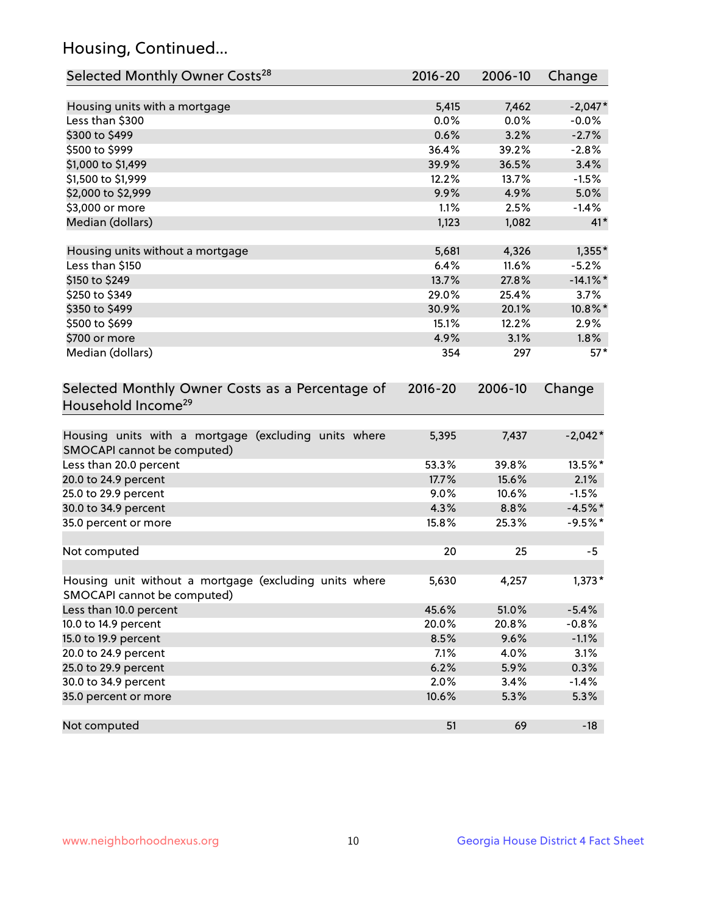## Housing, Continued...

| Selected Monthly Owner Costs <sup>28</sup>                                            | 2016-20     | 2006-10 | Change      |
|---------------------------------------------------------------------------------------|-------------|---------|-------------|
| Housing units with a mortgage                                                         | 5,415       | 7,462   | $-2,047*$   |
| Less than \$300                                                                       | 0.0%        | 0.0%    | $-0.0%$     |
| \$300 to \$499                                                                        | 0.6%        | 3.2%    | $-2.7%$     |
| \$500 to \$999                                                                        | 36.4%       | 39.2%   | $-2.8%$     |
| \$1,000 to \$1,499                                                                    | 39.9%       | 36.5%   | 3.4%        |
| \$1,500 to \$1,999                                                                    | 12.2%       | 13.7%   | $-1.5%$     |
| \$2,000 to \$2,999                                                                    | 9.9%        | 4.9%    | 5.0%        |
| \$3,000 or more                                                                       | 1.1%        | 2.5%    | $-1.4%$     |
| Median (dollars)                                                                      | 1,123       | 1,082   | $41*$       |
| Housing units without a mortgage                                                      | 5,681       | 4,326   | $1,355*$    |
| Less than \$150                                                                       | 6.4%        | 11.6%   | $-5.2%$     |
| \$150 to \$249                                                                        | 13.7%       | 27.8%   | $-14.1\%$ * |
| \$250 to \$349                                                                        | 29.0%       | 25.4%   | 3.7%        |
| \$350 to \$499                                                                        | 30.9%       | 20.1%   | 10.8%*      |
| \$500 to \$699                                                                        | 15.1%       | 12.2%   | 2.9%        |
| \$700 or more                                                                         | 4.9%        | 3.1%    | $1.8\%$     |
| Median (dollars)                                                                      | 354         | 297     | $57*$       |
| Selected Monthly Owner Costs as a Percentage of<br>Household Income <sup>29</sup>     | $2016 - 20$ | 2006-10 | Change      |
| Housing units with a mortgage (excluding units where<br>SMOCAPI cannot be computed)   | 5,395       | 7,437   | $-2,042*$   |
| Less than 20.0 percent                                                                | 53.3%       | 39.8%   | 13.5%*      |
| 20.0 to 24.9 percent                                                                  | 17.7%       | 15.6%   | 2.1%        |
| 25.0 to 29.9 percent                                                                  | 9.0%        | 10.6%   | $-1.5%$     |
| 30.0 to 34.9 percent                                                                  | 4.3%        | 8.8%    | $-4.5%$ *   |
| 35.0 percent or more                                                                  | 15.8%       | 25.3%   | $-9.5%$ *   |
| Not computed                                                                          | 20          | 25      | $-5$        |
| Housing unit without a mortgage (excluding units where<br>SMOCAPI cannot be computed) | 5,630       | 4,257   | $1,373*$    |
| Less than 10.0 percent                                                                | 45.6%       | 51.0%   | $-5.4%$     |
| 10.0 to 14.9 percent                                                                  | 20.0%       | 20.8%   | $-0.8%$     |
| 15.0 to 19.9 percent                                                                  | 8.5%        | 9.6%    | $-1.1%$     |
| 20.0 to 24.9 percent                                                                  | 7.1%        | 4.0%    | 3.1%        |
| 25.0 to 29.9 percent                                                                  | 6.2%        | 5.9%    | 0.3%        |
| 30.0 to 34.9 percent                                                                  | 2.0%        | 3.4%    | $-1.4%$     |
| 35.0 percent or more                                                                  | 10.6%       | 5.3%    | 5.3%        |
| Not computed                                                                          | 51          | 69      | $-18$       |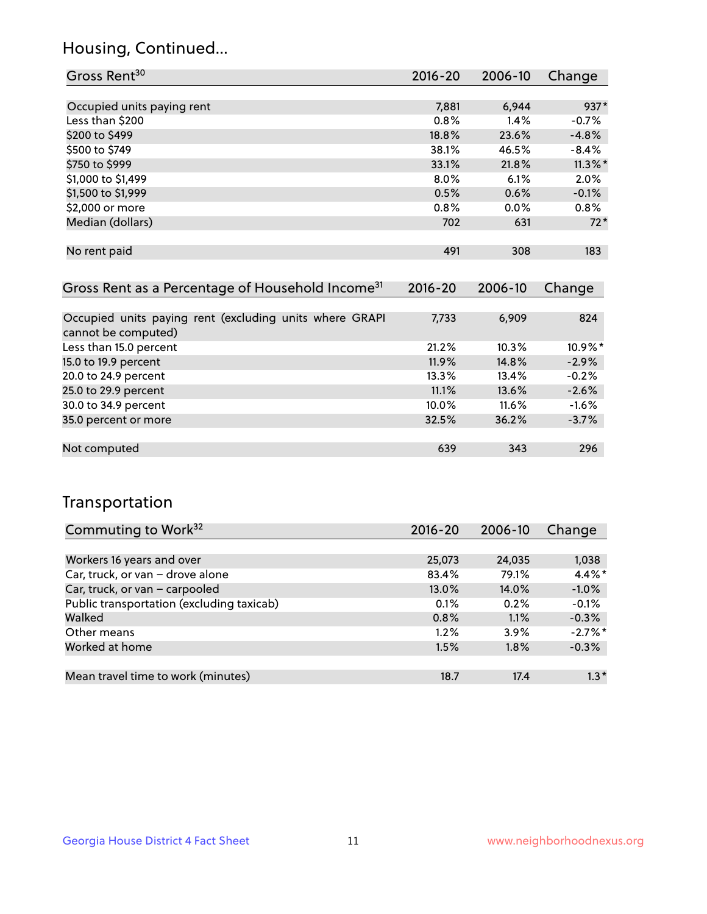## Housing, Continued...

| Gross Rent <sup>30</sup>   | 2016-20 | 2006-10 | Change     |
|----------------------------|---------|---------|------------|
|                            |         |         |            |
| Occupied units paying rent | 7,881   | 6,944   | 937*       |
| Less than \$200            | $0.8\%$ | 1.4%    | $-0.7%$    |
| \$200 to \$499             | 18.8%   | 23.6%   | $-4.8%$    |
| \$500 to \$749             | 38.1%   | 46.5%   | $-8.4%$    |
| \$750 to \$999             | 33.1%   | 21.8%   | $11.3\%$ * |
| \$1,000 to \$1,499         | $8.0\%$ | 6.1%    | 2.0%       |
| \$1,500 to \$1,999         | 0.5%    | 0.6%    | $-0.1%$    |
| \$2,000 or more            | 0.8%    | $0.0\%$ | 0.8%       |
| Median (dollars)           | 702     | 631     | $72*$      |
|                            |         |         |            |
| No rent paid               | 491     | 308     | 183        |
|                            |         |         |            |

| Gross Rent as a Percentage of Household Income <sup>31</sup>                   | $2016 - 20$ | 2006-10 | Change  |
|--------------------------------------------------------------------------------|-------------|---------|---------|
|                                                                                |             |         |         |
| Occupied units paying rent (excluding units where GRAPI<br>cannot be computed) | 7,733       | 6,909   | 824     |
| Less than 15.0 percent                                                         | 21.2%       | 10.3%   | 10.9%*  |
| 15.0 to 19.9 percent                                                           | 11.9%       | 14.8%   | $-2.9%$ |
| 20.0 to 24.9 percent                                                           | 13.3%       | 13.4%   | $-0.2%$ |
| 25.0 to 29.9 percent                                                           | 11.1%       | 13.6%   | $-2.6%$ |
| 30.0 to 34.9 percent                                                           | 10.0%       | 11.6%   | $-1.6%$ |
| 35.0 percent or more                                                           | 32.5%       | 36.2%   | $-3.7%$ |
|                                                                                |             |         |         |
| Not computed                                                                   | 639         | 343     | 296     |

## Transportation

| Commuting to Work <sup>32</sup>           | 2016-20 | 2006-10  | Change     |
|-------------------------------------------|---------|----------|------------|
|                                           |         |          |            |
| Workers 16 years and over                 | 25,073  | 24,035   | 1,038      |
| Car, truck, or van - drove alone          | 83.4%   | 79.1%    | $4.4\%$ *  |
| Car, truck, or van - carpooled            | 13.0%   | $14.0\%$ | $-1.0%$    |
| Public transportation (excluding taxicab) | 0.1%    | 0.2%     | $-0.1%$    |
| Walked                                    | 0.8%    | 1.1%     | $-0.3%$    |
| Other means                               | $1.2\%$ | $3.9\%$  | $-2.7\%$ * |
| Worked at home                            | 1.5%    | $1.8\%$  | $-0.3%$    |
|                                           |         |          |            |
| Mean travel time to work (minutes)        | 18.7    | 17.4     | $1.3*$     |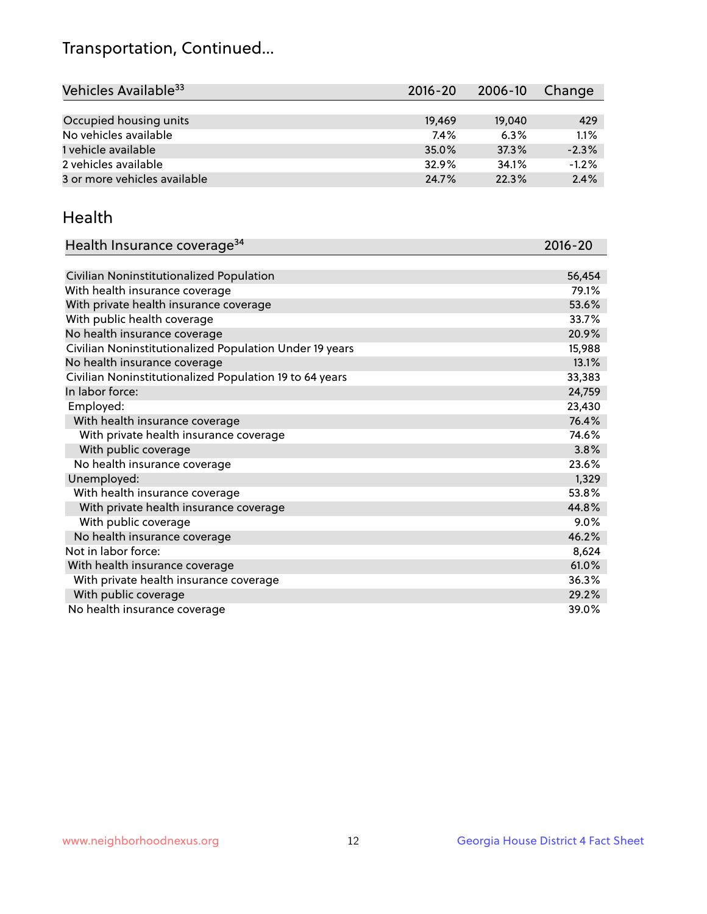## Transportation, Continued...

| Vehicles Available <sup>33</sup> | 2016-20 | 2006-10 | Change  |
|----------------------------------|---------|---------|---------|
|                                  |         |         |         |
| Occupied housing units           | 19,469  | 19,040  | 429     |
| No vehicles available            | 7.4%    | 6.3%    | 1.1%    |
| 1 vehicle available              | 35.0%   | 37.3%   | $-2.3%$ |
| 2 vehicles available             | 32.9%   | 34.1%   | $-1.2%$ |
| 3 or more vehicles available     | 24.7%   | 22.3%   | 2.4%    |

#### Health

| Health Insurance coverage <sup>34</sup>                 | 2016-20 |
|---------------------------------------------------------|---------|
|                                                         |         |
| Civilian Noninstitutionalized Population                | 56,454  |
| With health insurance coverage                          | 79.1%   |
| With private health insurance coverage                  | 53.6%   |
| With public health coverage                             | 33.7%   |
| No health insurance coverage                            | 20.9%   |
| Civilian Noninstitutionalized Population Under 19 years | 15,988  |
| No health insurance coverage                            | 13.1%   |
| Civilian Noninstitutionalized Population 19 to 64 years | 33,383  |
| In labor force:                                         | 24,759  |
| Employed:                                               | 23,430  |
| With health insurance coverage                          | 76.4%   |
| With private health insurance coverage                  | 74.6%   |
| With public coverage                                    | 3.8%    |
| No health insurance coverage                            | 23.6%   |
| Unemployed:                                             | 1,329   |
| With health insurance coverage                          | 53.8%   |
| With private health insurance coverage                  | 44.8%   |
| With public coverage                                    | $9.0\%$ |
| No health insurance coverage                            | 46.2%   |
| Not in labor force:                                     | 8,624   |
| With health insurance coverage                          | 61.0%   |
| With private health insurance coverage                  | 36.3%   |
| With public coverage                                    | 29.2%   |
| No health insurance coverage                            | 39.0%   |